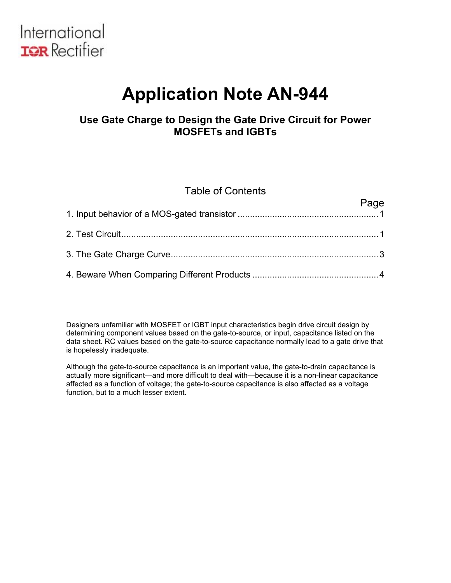

# **Application Note AN-944**

## **Use Gate Charge to Design the Gate Drive Circuit for Power MOSFETs and IGBTs**

## Table of Contents

| Page |
|------|
|      |
|      |
|      |

Designers unfamiliar with MOSFET or IGBT input characteristics begin drive circuit design by determining component values based on the gate-to-source, or input, capacitance listed on the data sheet. RC values based on the gate-to-source capacitance normally lead to a gate drive that is hopelessly inadequate.

Although the gate-to-source capacitance is an important value, the gate-to-drain capacitance is actually more significant—and more difficult to deal with—because it is a non-linear capacitance affected as a function of voltage; the gate-to-source capacitance is also affected as a voltage function, but to a much lesser extent.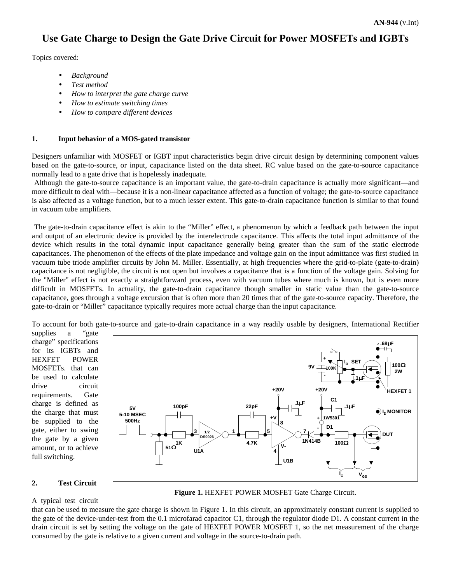### <span id="page-1-0"></span>**Use Gate Charge to Design the Gate Drive Circuit for Power MOSFETs and IGBTs**

Topics covered:

- *Background*
- *Test method*
- *How to interpret the gate charge curve*
- *How to estimate switching times*
- *How to compare different devices*

#### **1. Input behavior of a MOS-gated transistor**

Designers unfamiliar with MOSFET or IGBT input characteristics begin drive circuit design by determining component values based on the gate-to-source, or input, capacitance listed on the data sheet. RC value based on the gate-to-source capacitance normally lead to a gate drive that is hopelessly inadequate.

 Although the gate-to-source capacitance is an important value, the gate-to-drain capacitance is actually more significant—and more difficult to deal with—because it is a non-linear capacitance affected as a function of voltage; the gate-to-source capacitance is also affected as a voltage function, but to a much lesser extent. This gate-to-drain capacitance function is similar to that found in vacuum tube amplifiers.

 The gate-to-drain capacitance effect is akin to the "Miller" effect, a phenomenon by which a feedback path between the input and output of an electronic device is provided by the interelectrode capacitance. This affects the total input admittance of the device which results in the total dynamic input capacitance generally being greater than the sum of the static electrode capacitances. The phenomenon of the effects of the plate impedance and voltage gain on the input admittance was first studied in vacuum tube triode amplifier circuits by John M. Miller. Essentially, at high frequencies where the grid-to-plate (gate-to-drain) capacitance is not negligible, the circuit is not open but involves a capacitance that is a function of the voltage gain. Solving for the "Miller" effect is not exactly a straightforward process, even with vacuum tubes where much is known, but is even more difficult in MOSFETs. In actuality, the gate-to-drain capacitance though smaller in static value than the gate-to-source capacitance, goes through a voltage excursion that is often more than 20 times that of the gate-to-source capacity. Therefore, the gate-to-drain or "Miller" capacitance typically requires more actual charge than the input capacitance.

To account for both gate-to-source and gate-to-drain capacitance in a way readily usable by designers, International Rectifier

supplies a "gate charge" specifications for its IGBTs and HEXFET POWER MOSFETs. that can be used to calculate drive circuit requirements. Gate charge is defined as the charge that must be supplied to the gate, either to swing the gate by a given amount, or to achieve full switching.

#### **2. Test Circuit**

#### A typical test circuit

that can be used to measure the gate charge is shown in Figure 1. In this circuit, an approximately constant current is supplied to the gate of the device-under-test from the 0.1 microfarad capacitor C1, through the regulator diode D1. A constant current in the drain circuit is set by setting the voltage on the gate of HEXFET POWER MOSFET 1, so the net measurement of the charge consumed by the gate is relative to a given current and voltage in the source-to-drain path.



**Figure 1.** HEXFET POWER MOSFET Gate Charge Circuit.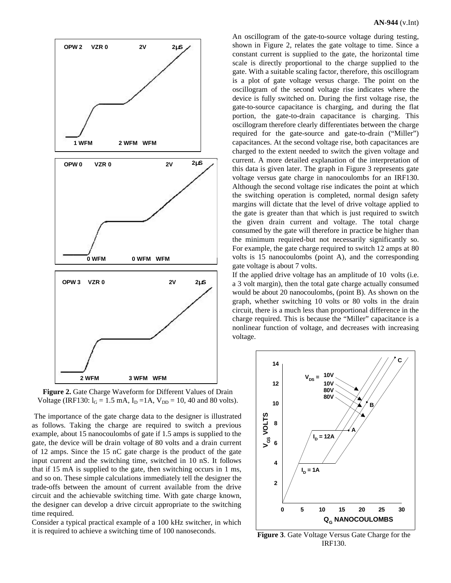

**Figure 2.** Gate Charge Waveform for Different Values of Drain Voltage (IRF130:  $l_G = 1.5$  mA,  $I_D = 1A$ ,  $V_{DD} = 10$ , 40 and 80 volts).

 The importance of the gate charge data to the designer is illustrated as follows. Taking the charge are required to switch a previous example, about 15 nanocoulombs of gate if 1.5 amps is supplied to the gate, the device will be drain voltage of 80 volts and a drain current of 12 amps. Since the 15 nC gate charge is the product of the gate input current and the switching time, switched in 10 nS. It follows that if 15 mA is supplied to the gate, then switching occurs in 1 ms, and so on. These simple calculations immediately tell the designer the trade-offs between the amount of current available from the drive circuit and the achievable switching time. With gate charge known, the designer can develop a drive circuit appropriate to the switching time required.

Consider a typical practical example of a 100 kHz switcher, in which it is required to achieve a switching time of 100 nanoseconds.

An oscillogram of the gate-to-source voltage during testing, shown in Figure 2, relates the gate voltage to time. Since a constant current is supplied to the gate, the horizontal time scale is directly proportional to the charge supplied to the gate. With a suitable scaling factor, therefore, this oscillogram is a plot of gate voltage versus charge. The point on the oscillogram of the second voltage rise indicates where the device is fully switched on. During the first voltage rise, the gate-to-source capacitance is charging, and during the flat portion, the gate-to-drain capacitance is charging. This oscillogram therefore clearly differentiates between the charge required for the gate-source and gate-to-drain ("Miller") capacitances. At the second voltage rise, both capacitances are charged to the extent needed to switch the given voltage and current. A more detailed explanation of the interpretation of this data is given later. The graph in Figure 3 represents gate voltage versus gate charge in nanocoulombs for an IRF130. Although the second voltage rise indicates the point at which the switching operation is completed, normal design safety margins will dictate that the level of drive voltage applied to the gate is greater than that which is just required to switch the given drain current and voltage. The total charge consumed by the gate will therefore in practice be higher than the minimum required-but not necessarily significantly so. For example, the gate charge required to switch 12 amps at 80 volts is 15 nanocoulombs (point A), and the corresponding gate voltage is about 7 volts.

If the applied drive voltage has an amplitude of 10 volts (i.e. a 3 volt margin), then the total gate charge actually consumed would be about 20 nanocoulombs, (point B). As shown on the graph, whether switching 10 volts or 80 volts in the drain circuit, there is a much less than proportional difference in the charge required. This is because the "Miller" capacitance is a nonlinear function of voltage, and decreases with increasing voltage.



**Figure 3**. Gate Voltage Versus Gate Charge for the IRF130.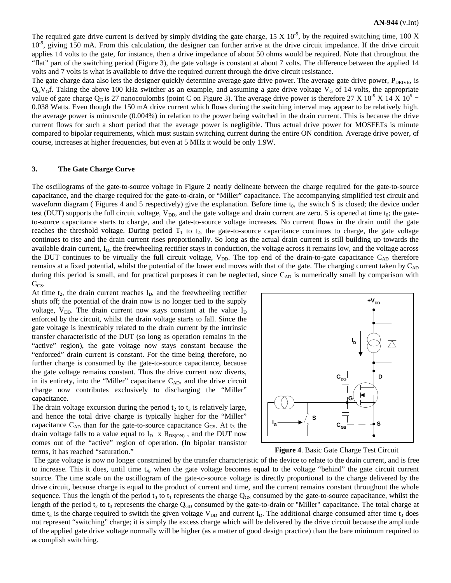<span id="page-3-0"></span>The required gate drive current is derived by simply dividing the gate charge,  $15 \text{ X } 10^{-9}$ , by the required switching time,  $100 \text{ X}$  $10<sup>-9</sup>$ , giving 150 mA. From this calculation, the designer can further arrive at the drive circuit impedance. If the drive circuit applies 14 volts to the gate, for instance, then a drive impedance of about 50 ohms would be required. Note that throughout the "flat" part of the switching period (Figure 3), the gate voltage is constant at about 7 volts. The difference between the applied 14 volts and 7 volts is what is available to drive the required current through the drive circuit resistance.

The gate charge data also lets the designer quickly determine average gate drive power. The average gate drive power, P<sub>DRIVE</sub>, is  $Q$ <sub>G</sub>V<sub>G</sub>f. Taking the above 100 kHz switcher as an example, and assuming a gate drive voltage V<sub>G</sub> of 14 volts, the appropriate value of gate charge  $Q_G$  is 27 nanocoulombs (point C on Figure 3). The average drive power is therefore 27 X 10<sup>-9</sup> X 14 X 10<sup>5</sup> 0.038 Watts. Even though the 150 mA drive current which flows during the switching interval may appear to be relatively high. the average power is minuscule (0.004%) in relation to the power being switched in the drain current. This is because the drive current flows for such a short period that the average power is negligible. Thus actual drive power for MOSFETs is minute compared to bipolar requirements, which must sustain switching current during the entire ON condition. Average drive power, of course, increases at higher frequencies, but even at 5 MHz it would be only 1.9W.

#### **3. The Gate Charge Curve**

The oscillograms of the gate-to-source voltage in Figure 2 neatly delineate between the charge required for the gate-to-source capacitance, and the charge required for the gate-to-drain, or "Miller" capacitance. The accompanying simplified test circuit and waveform diagram (Figures 4 and 5 respectively) give the explanation. Before time  $t_0$ , the switch S is closed; the device under test (DUT) supports the full circuit voltage,  $V_{DD}$ , and the gate voltage and drain current are zero. S is opened at time  $t_0$ ; the gateto-source capacitance starts to charge, and the gate-to-source voltage increases. No current flows in the drain until the gate reaches the threshold voltage. During period  $T_1$  to  $t_2$ , the gate-to-source capacitance continues to charge, the gate voltage continues to rise and the drain current rises proportionally. So long as the actual drain current is still building up towards the available drain current,  $I<sub>D</sub>$ , the freewheeling rectifier stays in conduction, the voltage across it remains low, and the voltage across the DUT continues to be virtually the full circuit voltage,  $V_{DD}$ . The top end of the drain-to-gate capacitance  $C_{AD}$  therefore remains at a fixed potential, whilst the potential of the lower end moves with that of the gate. The charging current taken by  $C_{AD}$ during this period is small, and for practical purposes it can be neglected, since  $C_{AD}$  is numerically small by comparison with  $G_{CS}$ .

At time  $t_2$ , the drain current reaches  $I_D$ , and the freewheeling rectifier shuts off; the potential of the drain now is no longer tied to the supply voltage,  $V_{DD}$ . The drain current now stays constant at the value  $I_D$ enforced by the circuit, whilst the drain voltage starts to fall. Since the gate voltage is inextricably related to the drain current by the intrinsic transfer characteristic of the DUT (so long as operation remains in the "active" region), the gate voltage now stays constant because the "enforced" drain current is constant. For the time being therefore, no further charge is consumed by the gate-to-source capacitance, because the gate voltage remains constant. Thus the drive current now diverts, in its entirety, into the "Miller" capacitance  $C_{AD}$ , and the drive circuit charge now contributes exclusively to discharging the "Miller" capacitance.

The drain voltage excursion during the period  $t_2$  to  $t_3$  is relatively large, and hence the total drive charge is typically higher for the "Miller" capacitance  $C_{AD}$  than for the gate-to-source capacitance  $G_{CS}$ . At t<sub>3</sub> the drain voltage falls to a value equal to  $I_D \times R_{DS(ON)}$ , and the DUT now comes out of the "active" region of operation. (In bipolar transistor terms, it has reached "saturation."



**Figure 4**. Basic Gate Charge Test Circuit

 The gate voltage is now no longer constrained by the transfer characteristic of the device to relate to the drain current, and is free to increase. This it does, until time  $t_4$ , when the gate voltage becomes equal to the voltage "behind" the gate circuit current source. The time scale on the oscillogram of the gate-to-source voltage is directly proportional to the charge delivered by the drive circuit, because charge is equal to the product of current and time, and the current remains constant throughout the whole sequence. Thus the length of the period  $t_0$  to  $t_1$  represents the charge  $Q_{GS}$  consumed by the gate-to-source capacitance, whilst the length of the period t<sub>2</sub> to t<sub>3</sub> represents the charge  $Q_{GD}$  consumed by the gate-to-drain or "Miller" capacitance. The total charge at time  $t_3$  is the charge required to switch the given voltage  $V_{DD}$  and current I<sub>D</sub>. The additional charge consumed after time  $t_3$  does not represent "switching" charge; it is simply the excess charge which will be delivered by the drive circuit because the amplitude of the applied gate drive voltage normally will be higher (as a matter of good design practice) than the bare minimum required to accomplish switching.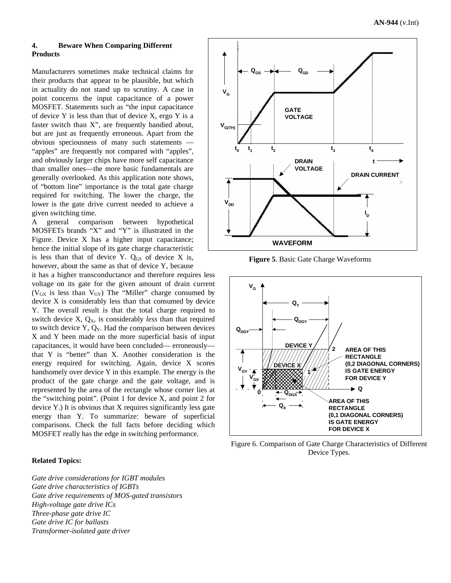#### <span id="page-4-0"></span>**4. Beware When Comparing Different Products**

Manufacturers sometimes make technical claims for their products that appear to be plausible, but which in actuality do not stand up to scrutiny. A case in point concerns the input capacitance of a power MOSFET. Statements such as "the input capacitance of device Y is less than that of device  $X$ , ergo Y is a faster switch than X", are frequently bandied about, but are just as frequently erroneous. Apart from the obvious speciousness of many such statements — "apples" are frequently not compared with "apples", and obviously larger chips have more self capacitance than smaller ones—the more basic fundamentals are generally overlooked. As this application note shows, of "bottom line" importance is the total gate charge required for switching. The lower the charge, the lower is the gate drive current needed to achieve a given switching time.

A general comparison between hypothetical MOSFETs brands "X" and "Y" is illustrated in the Figure. Device X has a higher input capacitance; hence the initial slope of its gate charge characteristic is less than that of device Y.  $Q_{GS}$  of device X is, however, about the same as that of device Y, because

it has a higher transconductance and therefore requires less voltage on its gate for the given amount of drain current ( $V_{\text{GX}}$  is less than  $V_{\text{GY}}$ ) The "Miller" charge consumed by device X is considerably less than that consumed by device Y. The overall result is that the total charge required to switch device  $X$ ,  $Q_X$ , is considerably *less* than that required to switch device Y,  $Q_Y$ . Had the comparison between devices X and Y been made on the more superficial basis of input capacitances, it would have been concluded— erroneously that Y is "better" than X. Another consideration is the energy required for switching. Again, device X scores handsomely over device Y in this example. The energy is the product of the gate charge and the gate voltage, and is represented by the area of the rectangle whose corner lies at the "switching point". (Point 1 for device X, and point 2 for device Y.) It is obvious that X requires significantly less gate energy than Y. To summarize: beware of superficial comparisons. Check the full facts before deciding which MOSFET really has the edge in switching performance.

#### **Related Topics:**

*Gate drive considerations for IGBT modules Gate drive characteristics of IGBTs Gate drive requirements of MOS-gated transistors High-voltage gate drive ICs Three-phase gate drive IC Gate drive IC for ballasts Transformer-isolated gate driver*



**Figure 5**. Basic Gate Charge Waveforms



Figure 6. Comparison of Gate Charge Characteristics of Different Device Types.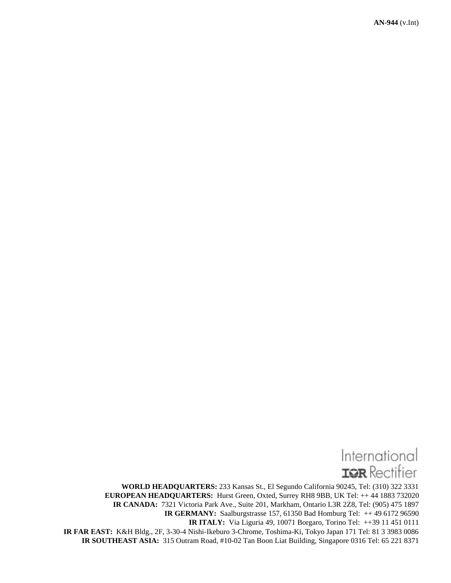## International **IGR** Rectifier

**WORLD HEADQUARTERS:** 233 Kansas St., El Segundo California 90245, Tel: (310) 322 3331 **EUROPEAN HEADQUARTERS:** Hurst Green, Oxted, Surrey RH8 9BB, UK Tel: ++ 44 1883 732020 **IR CANADA:** 7321 Victoria Park Ave., Suite 201, Markham, Ontario L3R 2Z8, Tel: (905) 475 1897 **IR GERMANY:** Saalburgstrasse 157, 61350 Bad Homburg Tel: ++ 49 6172 96590 **IR ITALY:** Via Liguria 49, 10071 Borgaro, Torino Tel: ++39 11 451 0111 **IR FAR EAST:** K&H Bldg., 2F, 3-30-4 Nishi-Ikeburo 3-Chrome, Toshima-Ki, Tokyo Japan 171 Tel: 81 3 3983 0086 **IR SOUTHEAST ASIA:** 315 Outram Road, #10-02 Tan Boon Liat Building, Singapore 0316 Tel: 65 221 8371